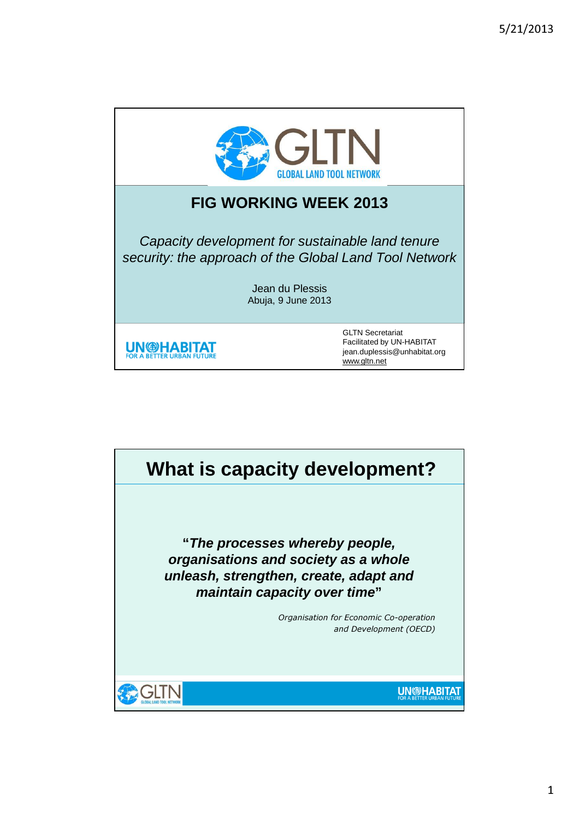



1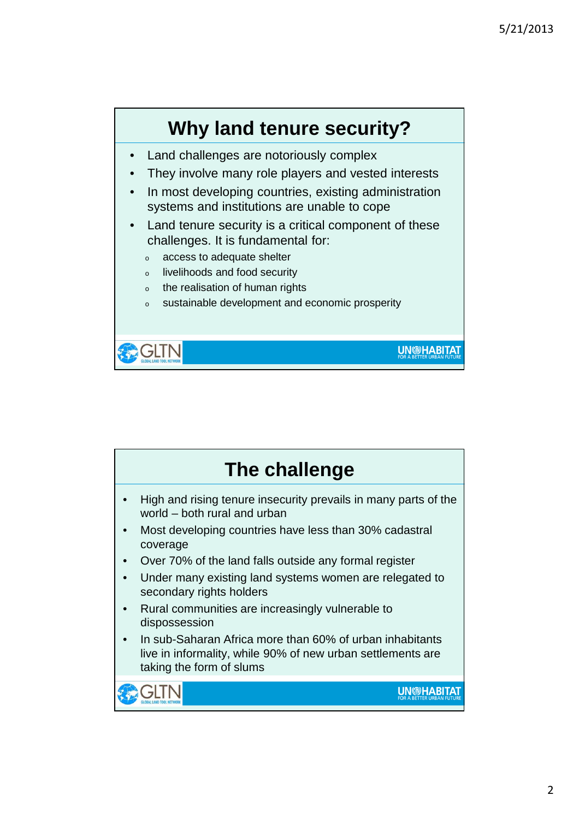

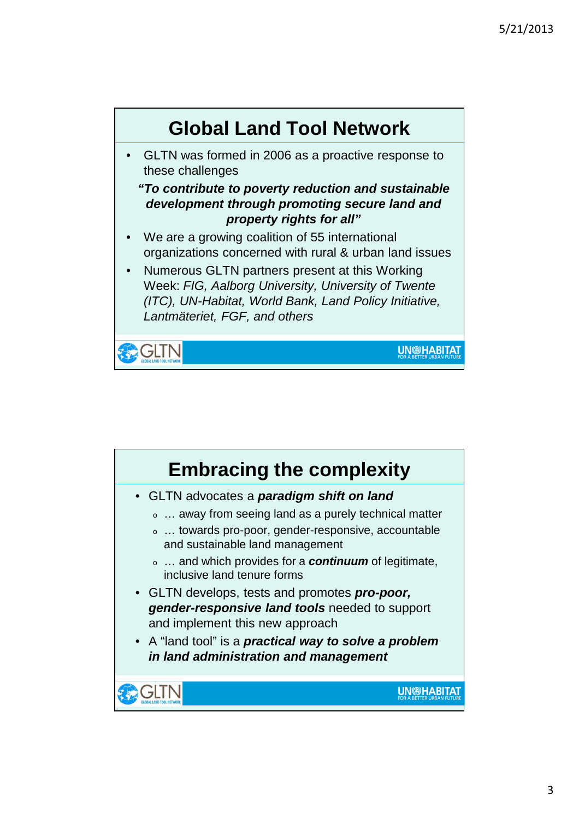

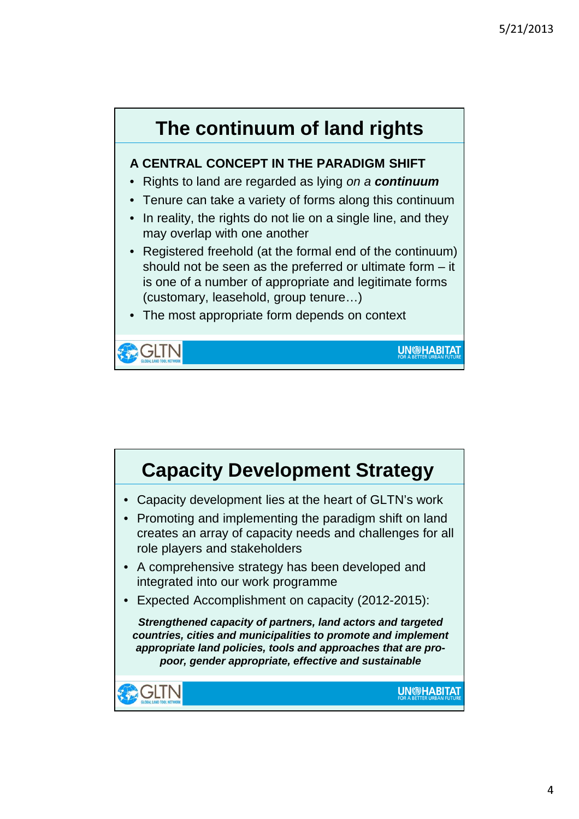

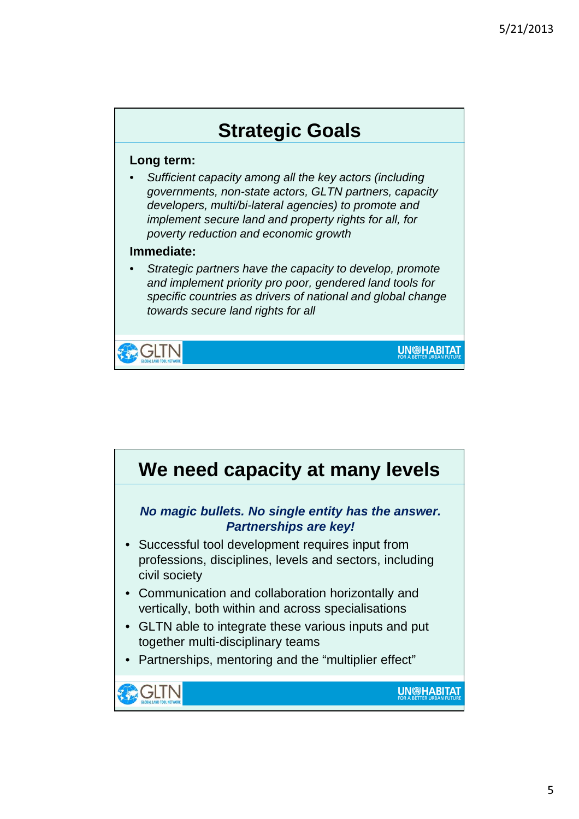

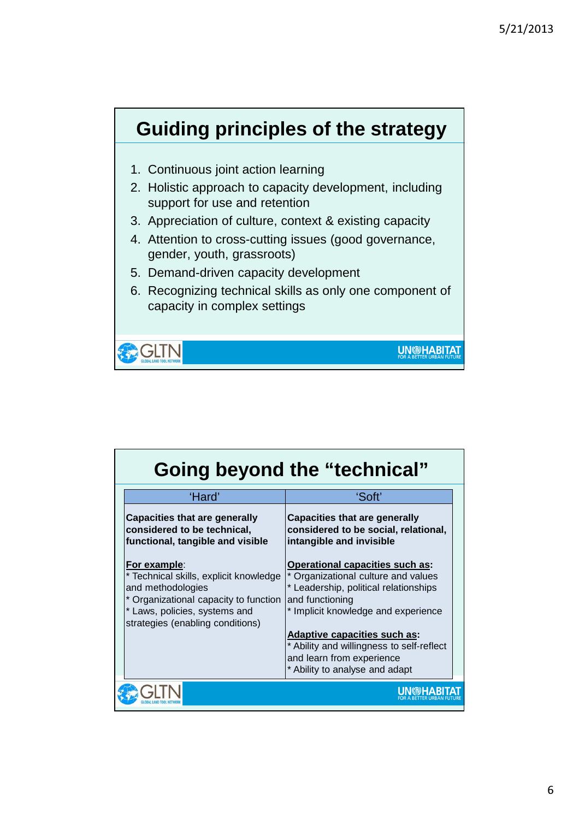

| <b>Going beyond the "technical"</b> |                                                                                                                                                                                                  |                                                                                                                                                                           |  |
|-------------------------------------|--------------------------------------------------------------------------------------------------------------------------------------------------------------------------------------------------|---------------------------------------------------------------------------------------------------------------------------------------------------------------------------|--|
|                                     | 'Hard'                                                                                                                                                                                           | 'Soft'                                                                                                                                                                    |  |
|                                     | <b>Capacities that are generally</b><br>considered to be technical,<br>functional, tangible and visible                                                                                          | <b>Capacities that are generally</b><br>considered to be social, relational,<br>intangible and invisible                                                                  |  |
|                                     | <u>For example:</u><br>* Technical skills, explicit knowledge<br>and methodologies<br>* Organizational capacity to function<br>* Laws, policies, systems and<br>strategies (enabling conditions) | Operational capacities such as:<br>* Organizational culture and values<br>* Leadership, political relationships<br>and functioning<br>* Implicit knowledge and experience |  |
|                                     |                                                                                                                                                                                                  | <b>Adaptive capacities such as:</b><br>* Ability and willingness to self-reflect<br>and learn from experience<br>* Ability to analyse and adapt                           |  |
|                                     |                                                                                                                                                                                                  |                                                                                                                                                                           |  |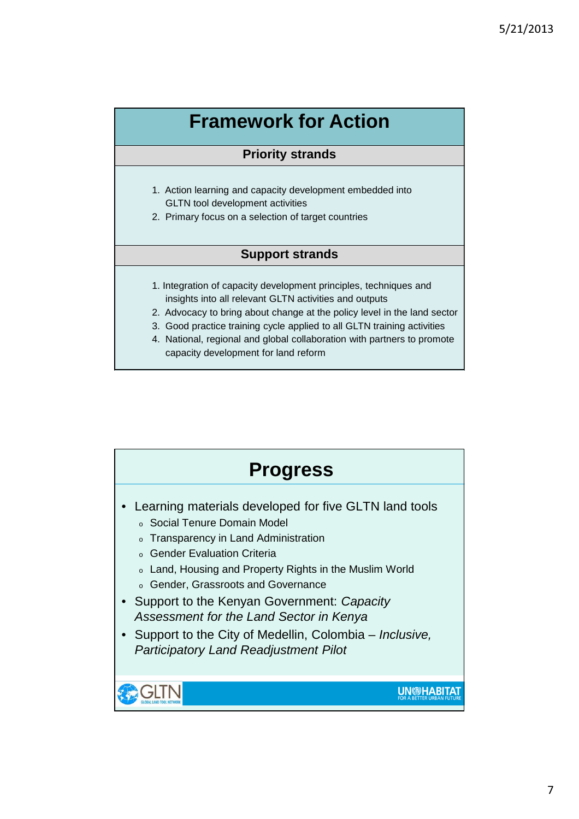## **Framework for Action**

## **Priority strands**

- 1. Action learning and capacity development embedded into GLTN tool development activities
- 2. Primary focus on a selection of target countries

## **Support strands**

- 1. Integration of capacity development principles, techniques and insights into all relevant GLTN activities and outputs
- 2. Advocacy to bring about change at the policy level in the land sector
- 3. Good practice training cycle applied to all GLTN training activities
- 4. National, regional and global collaboration with partners to promote capacity development for land reform

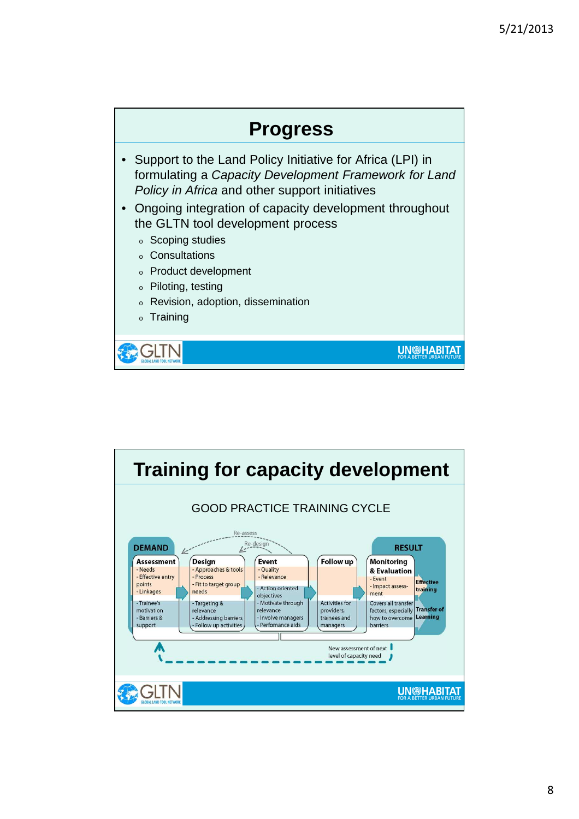